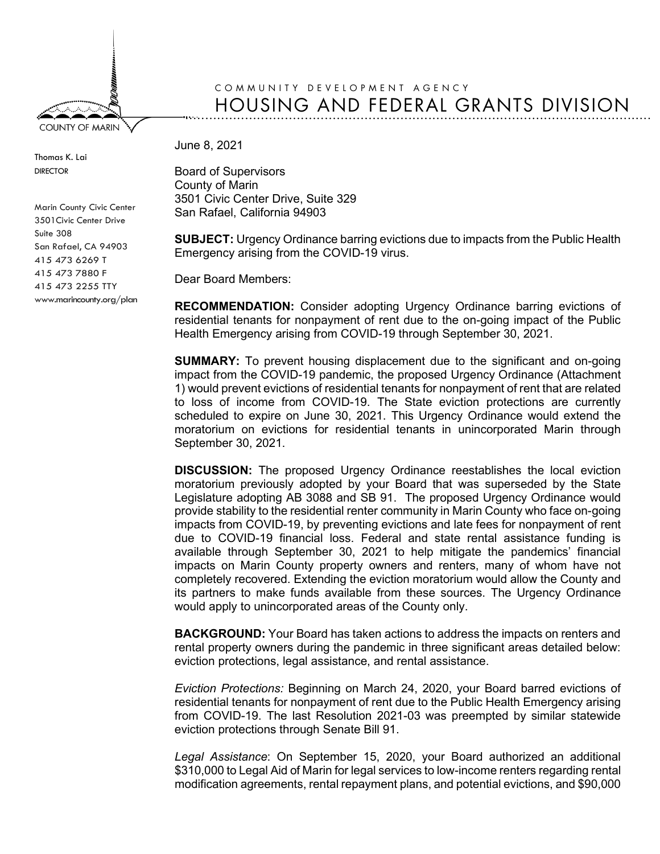**COUNTY OF MARIN** 

Thomas K. Lai DIRECTOR

## COMMUNITY DEVELOPMENT AGENCY HOUSING AND FEDERAL GRANTS DIVISION

June 8, 2021

Board of Supervisors County of Marin 3501 Civic Center Drive, Suite 329 San Rafael, California 94903

**SUBJECT:** Urgency Ordinance barring evictions due to impacts from the Public Health Emergency arising from the COVID-19 virus.

Dear Board Members:

**RECOMMENDATION:** Consider adopting Urgency Ordinance barring evictions of residential tenants for nonpayment of rent due to the on-going impact of the Public Health Emergency arising from COVID-19 through September 30, 2021.

**SUMMARY:** To prevent housing displacement due to the significant and on-going impact from the COVID-19 pandemic, the proposed Urgency Ordinance (Attachment 1) would prevent evictions of residential tenants for nonpayment of rent that are related to loss of income from COVID-19. The State eviction protections are currently scheduled to expire on June 30, 2021. This Urgency Ordinance would extend the moratorium on evictions for residential tenants in unincorporated Marin through September 30, 2021.

**DISCUSSION:** The proposed Urgency Ordinance reestablishes the local eviction moratorium previously adopted by your Board that was superseded by the State Legislature adopting AB 3088 and SB 91. The proposed Urgency Ordinance would provide stability to the residential renter community in Marin County who face on-going impacts from COVID-19, by preventing evictions and late fees for nonpayment of rent due to COVID-19 financial loss. Federal and state rental assistance funding is available through September 30, 2021 to help mitigate the pandemics' financial impacts on Marin County property owners and renters, many of whom have not completely recovered. Extending the eviction moratorium would allow the County and its partners to make funds available from these sources. The Urgency Ordinance would apply to unincorporated areas of the County only.

**BACKGROUND:** Your Board has taken actions to address the impacts on renters and rental property owners during the pandemic in three significant areas detailed below: eviction protections, legal assistance, and rental assistance.

*Eviction Protections:* Beginning on March 24, 2020, your Board barred evictions of residential tenants for nonpayment of rent due to the Public Health Emergency arising from COVID-19. The last Resolution 2021-03 was preempted by similar statewide eviction protections through Senate Bill 91.

*Legal Assistance*: On September 15, 2020, your Board authorized an additional \$310,000 to Legal Aid of Marin for legal services to low-income renters regarding rental modification agreements, rental repayment plans, and potential evictions, and \$90,000

Marin County Civic Center 3501Civic Center Drive Suite 308 San Rafael, CA 94903 415 473 6269 T 415 473 7880 F 415 473 2255 TTY www.marincounty.org/plan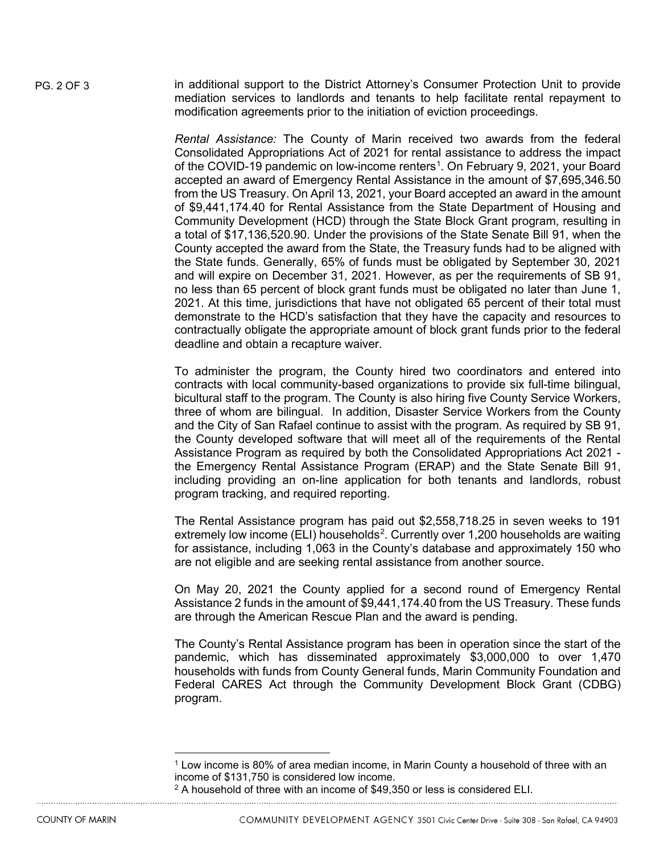PG. 2 OF 3 in additional support to the District Attorney's Consumer Protection Unit to provide mediation services to landlords and tenants to help facilitate rental repayment to modification agreements prior to the initiation of eviction proceedings.

> *Rental Assistance:* The County of Marin received two awards from the federal Consolidated Appropriations Act of 2021 for rental assistance to address the impact of the COVID-[1](#page-1-0)9 pandemic on low-income renters<sup>1</sup>. On February 9, 2021, your Board accepted an award of Emergency Rental Assistance in the amount of \$7,695,346.50 from the US Treasury. On April 13, 2021, your Board accepted an award in the amount of \$9,441,174.40 for Rental Assistance from the State Department of Housing and Community Development (HCD) through the State Block Grant program, resulting in a total of \$17,136,520.90. Under the provisions of the State Senate Bill 91, when the County accepted the award from the State, the Treasury funds had to be aligned with the State funds. Generally, 65% of funds must be obligated by September 30, 2021 and will expire on December 31, 2021. However, as per the requirements of SB 91, no less than 65 percent of block grant funds must be obligated no later than June 1, 2021. At this time, jurisdictions that have not obligated 65 percent of their total must demonstrate to the HCD's satisfaction that they have the capacity and resources to contractually obligate the appropriate amount of block grant funds prior to the federal deadline and obtain a recapture waiver.

> To administer the program, the County hired two coordinators and entered into contracts with local community-based organizations to provide six full-time bilingual, bicultural staff to the program. The County is also hiring five County Service Workers, three of whom are bilingual. In addition, Disaster Service Workers from the County and the City of San Rafael continue to assist with the program. As required by SB 91, the County developed software that will meet all of the requirements of the Rental Assistance Program as required by both the Consolidated Appropriations Act 2021 the Emergency Rental Assistance Program (ERAP) and the State Senate Bill 91, including providing an on-line application for both tenants and landlords, robust program tracking, and required reporting.

> The Rental Assistance program has paid out \$2,558,718.25 in seven weeks to 191 extremely low income (ELI) households<sup>[2](#page-1-1)</sup>. Currently over 1,200 households are waiting for assistance, including 1,063 in the County's database and approximately 150 who are not eligible and are seeking rental assistance from another source.

> On May 20, 2021 the County applied for a second round of Emergency Rental Assistance 2 funds in the amount of \$9,441,174.40 from the US Treasury. These funds are through the American Rescue Plan and the award is pending.

> The County's Rental Assistance program has been in operation since the start of the pandemic, which has disseminated approximately \$3,000,000 to over 1,470 households with funds from County General funds, Marin Community Foundation and Federal CARES Act through the Community Development Block Grant (CDBG) program.

<span id="page-1-0"></span><sup>1</sup> Low income is 80% of area median income, in Marin County a household of three with an income of \$131,750 is considered low income.

<span id="page-1-1"></span><sup>&</sup>lt;sup>2</sup> A household of three with an income of \$49,350 or less is considered ELI.